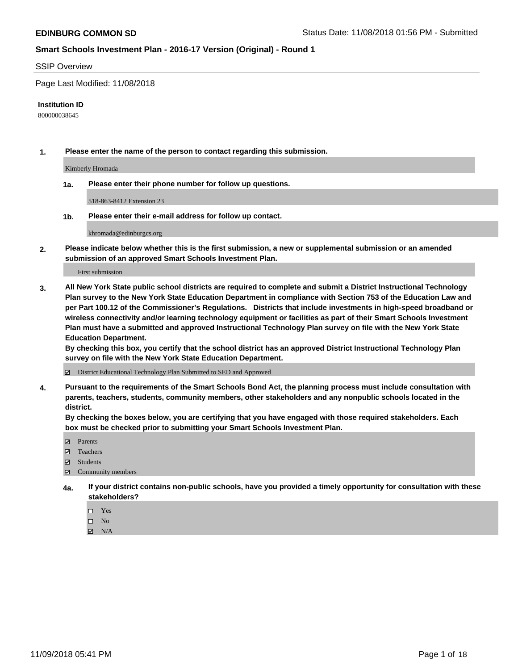#### SSIP Overview

Page Last Modified: 11/08/2018

#### **Institution ID**

800000038645

**1. Please enter the name of the person to contact regarding this submission.**

Kimberly Hromada

**1a. Please enter their phone number for follow up questions.**

518-863-8412 Extension 23

**1b. Please enter their e-mail address for follow up contact.**

khromada@edinburgcs.org

**2. Please indicate below whether this is the first submission, a new or supplemental submission or an amended submission of an approved Smart Schools Investment Plan.**

First submission

**3. All New York State public school districts are required to complete and submit a District Instructional Technology Plan survey to the New York State Education Department in compliance with Section 753 of the Education Law and per Part 100.12 of the Commissioner's Regulations. Districts that include investments in high-speed broadband or wireless connectivity and/or learning technology equipment or facilities as part of their Smart Schools Investment Plan must have a submitted and approved Instructional Technology Plan survey on file with the New York State Education Department.** 

**By checking this box, you certify that the school district has an approved District Instructional Technology Plan survey on file with the New York State Education Department.**

District Educational Technology Plan Submitted to SED and Approved

**4. Pursuant to the requirements of the Smart Schools Bond Act, the planning process must include consultation with parents, teachers, students, community members, other stakeholders and any nonpublic schools located in the district.** 

**By checking the boxes below, you are certifying that you have engaged with those required stakeholders. Each box must be checked prior to submitting your Smart Schools Investment Plan.**

- **□** Parents
- Teachers
- Students
- $\boxtimes$  Community members
- **4a. If your district contains non-public schools, have you provided a timely opportunity for consultation with these stakeholders?**
	- $\Box$  Yes
	- $\qquad \qquad$  No
	- $\blacksquare$  N/A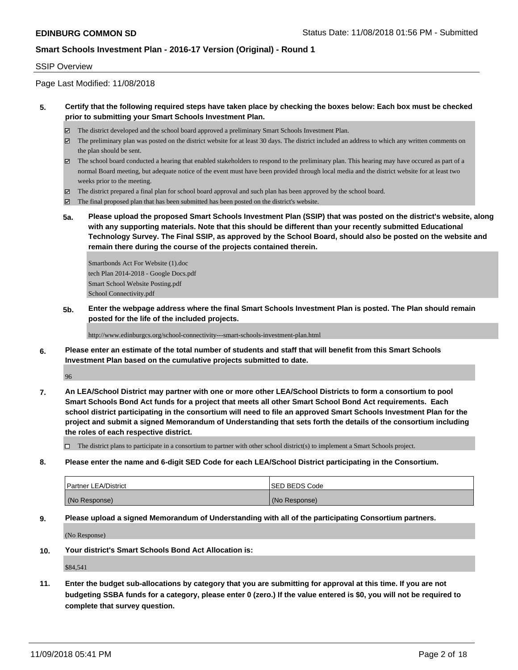#### SSIP Overview

Page Last Modified: 11/08/2018

### **5. Certify that the following required steps have taken place by checking the boxes below: Each box must be checked prior to submitting your Smart Schools Investment Plan.**

- The district developed and the school board approved a preliminary Smart Schools Investment Plan.
- $\boxtimes$  The preliminary plan was posted on the district website for at least 30 days. The district included an address to which any written comments on the plan should be sent.
- $\boxtimes$  The school board conducted a hearing that enabled stakeholders to respond to the preliminary plan. This hearing may have occured as part of a normal Board meeting, but adequate notice of the event must have been provided through local media and the district website for at least two weeks prior to the meeting.
- The district prepared a final plan for school board approval and such plan has been approved by the school board.
- $\boxtimes$  The final proposed plan that has been submitted has been posted on the district's website.
- **5a. Please upload the proposed Smart Schools Investment Plan (SSIP) that was posted on the district's website, along with any supporting materials. Note that this should be different than your recently submitted Educational Technology Survey. The Final SSIP, as approved by the School Board, should also be posted on the website and remain there during the course of the projects contained therein.**

Smartbonds Act For Website (1).doc tech Plan 2014-2018 - Google Docs.pdf Smart School Website Posting.pdf School Connectivity.pdf

**5b. Enter the webpage address where the final Smart Schools Investment Plan is posted. The Plan should remain posted for the life of the included projects.**

http://www.edinburgcs.org/school-connectivity---smart-schools-investment-plan.html

**6. Please enter an estimate of the total number of students and staff that will benefit from this Smart Schools Investment Plan based on the cumulative projects submitted to date.**

96

**7. An LEA/School District may partner with one or more other LEA/School Districts to form a consortium to pool Smart Schools Bond Act funds for a project that meets all other Smart School Bond Act requirements. Each school district participating in the consortium will need to file an approved Smart Schools Investment Plan for the project and submit a signed Memorandum of Understanding that sets forth the details of the consortium including the roles of each respective district.**

 $\Box$  The district plans to participate in a consortium to partner with other school district(s) to implement a Smart Schools project.

**8. Please enter the name and 6-digit SED Code for each LEA/School District participating in the Consortium.**

| <b>Partner LEA/District</b> | <b>ISED BEDS Code</b> |
|-----------------------------|-----------------------|
| (No Response)               | (No Response)         |

**9. Please upload a signed Memorandum of Understanding with all of the participating Consortium partners.**

(No Response)

**10. Your district's Smart Schools Bond Act Allocation is:**

\$84,541

**11. Enter the budget sub-allocations by category that you are submitting for approval at this time. If you are not budgeting SSBA funds for a category, please enter 0 (zero.) If the value entered is \$0, you will not be required to complete that survey question.**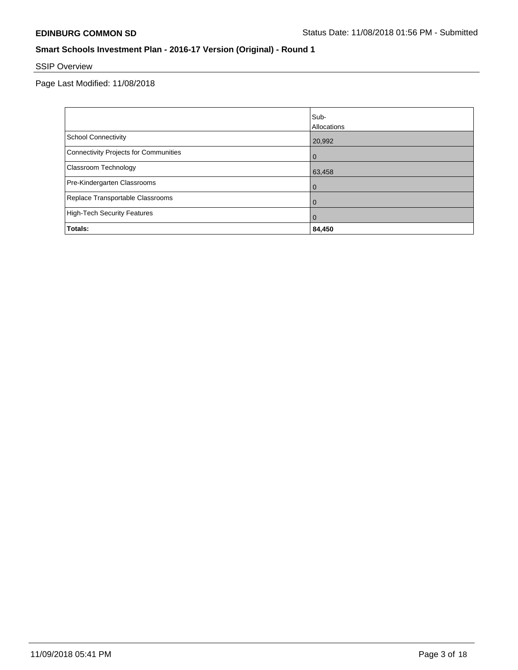# SSIP Overview

|                                       | Sub-<br><b>Allocations</b> |
|---------------------------------------|----------------------------|
| School Connectivity                   | 20,992                     |
| Connectivity Projects for Communities | $\overline{0}$             |
| <b>Classroom Technology</b>           | 63,458                     |
| Pre-Kindergarten Classrooms           | $\overline{0}$             |
| Replace Transportable Classrooms      | $\mathbf 0$                |
| High-Tech Security Features           | $\Omega$                   |
| Totals:                               | 84,450                     |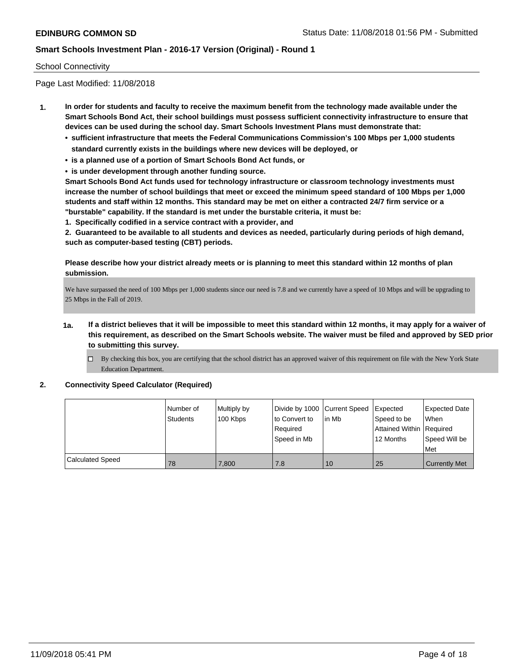### School Connectivity

Page Last Modified: 11/08/2018

- **1. In order for students and faculty to receive the maximum benefit from the technology made available under the Smart Schools Bond Act, their school buildings must possess sufficient connectivity infrastructure to ensure that devices can be used during the school day. Smart Schools Investment Plans must demonstrate that:**
	- **• sufficient infrastructure that meets the Federal Communications Commission's 100 Mbps per 1,000 students standard currently exists in the buildings where new devices will be deployed, or**
	- **• is a planned use of a portion of Smart Schools Bond Act funds, or**
	- **• is under development through another funding source.**

**Smart Schools Bond Act funds used for technology infrastructure or classroom technology investments must increase the number of school buildings that meet or exceed the minimum speed standard of 100 Mbps per 1,000 students and staff within 12 months. This standard may be met on either a contracted 24/7 firm service or a "burstable" capability. If the standard is met under the burstable criteria, it must be:**

**1. Specifically codified in a service contract with a provider, and**

**2. Guaranteed to be available to all students and devices as needed, particularly during periods of high demand, such as computer-based testing (CBT) periods.**

**Please describe how your district already meets or is planning to meet this standard within 12 months of plan submission.**

We have surpassed the need of 100 Mbps per 1,000 students since our need is 7.8 and we currently have a speed of 10 Mbps and will be upgrading to 25 Mbps in the Fall of 2019.

- **1a. If a district believes that it will be impossible to meet this standard within 12 months, it may apply for a waiver of this requirement, as described on the Smart Schools website. The waiver must be filed and approved by SED prior to submitting this survey.**
	- By checking this box, you are certifying that the school district has an approved waiver of this requirement on file with the New York State Education Department.

### **2. Connectivity Speed Calculator (Required)**

|                  | Number of<br>Students | Multiply by<br>100 Kbps | Divide by 1000 Current Speed<br>to Convert to<br>Required<br>Speed in Mb | l in Mb | <b>Expected</b><br>Speed to be<br>Attained Within   Required<br>12 Months | Expected Date<br>When<br>Speed Will be<br>Met |
|------------------|-----------------------|-------------------------|--------------------------------------------------------------------------|---------|---------------------------------------------------------------------------|-----------------------------------------------|
| Calculated Speed | 78                    | 7.800                   | 7.8                                                                      | 10      | 25                                                                        | <b>Currently Met</b>                          |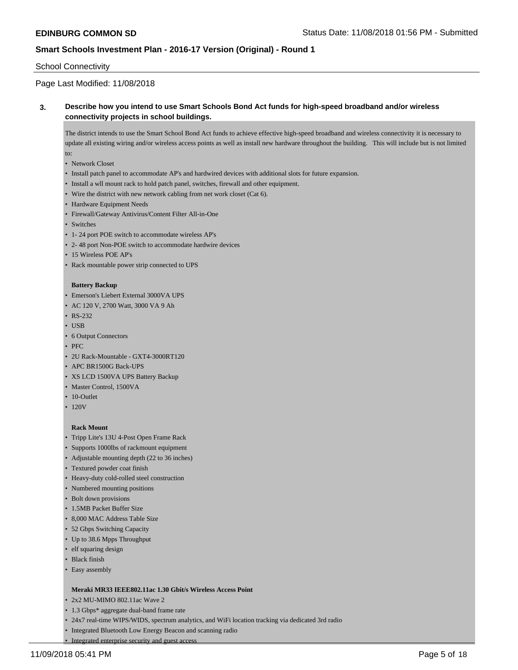### School Connectivity

# Page Last Modified: 11/08/2018

## **3. Describe how you intend to use Smart Schools Bond Act funds for high-speed broadband and/or wireless connectivity projects in school buildings.**

The district intends to use the Smart School Bond Act funds to achieve effective high-speed broadband and wireless connectivity it is necessary to update all existing wiring and/or wireless access points as well as install new hardware throughout the building. This will include but is not limited to:

- Network Closet
- Install patch panel to accommodate AP's and hardwired devices with additional slots for future expansion.
- Install a wll mount rack to hold patch panel, switches, firewall and other equipment.
- Wire the district with new network cabling from net work closet (Cat 6).
- Hardware Equipment Needs
- Firewall/Gateway Antivirus/Content Filter All-in-One
- Switches
- 1- 24 port POE switch to accommodate wireless AP's
- 2- 48 port Non-POE switch to accommodate hardwire devices
- 15 Wireless POE AP's
- Rack mountable power strip connected to UPS

#### **Battery Backup**

- Emerson's Liebert External 3000VA UPS
- AC 120 V, 2700 Watt, 3000 VA 9 Ah
- RS-232
- USB
- 6 Output Connectors
- PFC
- 2U Rack-Mountable GXT4-3000RT120
- APC BR1500G Back-UPS
- XS LCD 1500VA UPS Battery Backup
- Master Control, 1500VA
- 10-Outlet
- $\cdot$  120V

#### **Rack Mount**

- Tripp Lite's 13U 4-Post Open Frame Rack
- Supports 1000lbs of rackmount equipment
- Adjustable mounting depth (22 to 36 inches)
- Textured powder coat finish
- Heavy-duty cold-rolled steel construction
- Numbered mounting positions
- Bolt down provisions
- 1.5MB Packet Buffer Size
- 8,000 MAC Address Table Size
- 52 Gbps Switching Capacity
- Up to 38.6 Mpps Throughput
- elf squaring design
- Black finish
- Easy assembly

#### **Meraki MR33 IEEE802.11ac 1.30 Gbit/s Wireless Access Point**

- 2x2 MU-MIMO 802.11ac Wave 2
- 1.3 Gbps\* aggregate dual-band frame rate

• Integrated enterprise security and guest access

- 24x7 real-time WIPS/WIDS, spectrum analytics, and WiFi location tracking via dedicated 3rd radio
- Integrated Bluetooth Low Energy Beacon and scanning radio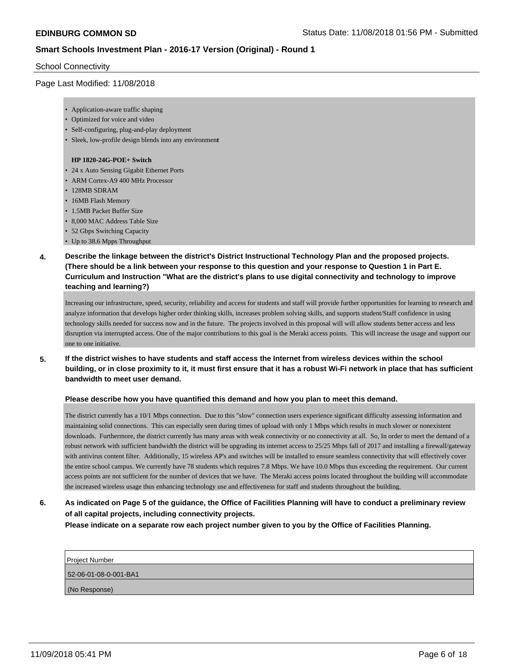### School Connectivity

### Page Last Modified: 11/08/2018

- Application-aware traffic shaping
- Optimized for voice and video
- Self-configuring, plug-and-play deployment
- Sleek, low-profile design blends into any environmen**t**

#### **HP 1820-24G-POE+ Switch**

- 24 x Auto Sensing Gigabit Ethernet Ports
- ARM Cortex-A9 400 MHz Processor
- 128MB SDRAM
- 16MB Flash Memory
- 1.5MB Packet Buffer Size
- 8,000 MAC Address Table Size
- 52 Gbps Switching Capacity
- Up to 38.6 Mpps Throughput
- **4. Describe the linkage between the district's District Instructional Technology Plan and the proposed projects. (There should be a link between your response to this question and your response to Question 1 in Part E. Curriculum and Instruction "What are the district's plans to use digital connectivity and technology to improve teaching and learning?)**

Increasing our infrastructure, speed, security, reliability and access for students and staff will provide further opportunities for learning to research and analyze information that develops higher order thinking skills, increases problem solving skills, and supports student/Staff confidence in using technology skills needed for success now and in the future. The projects involved in this proposal will will allow students better access and less disruption via interrupted access. One of the major contributions to this goal is the Meraki access points. This will increase the usage and support our one to one initiative.

**5. If the district wishes to have students and staff access the Internet from wireless devices within the school building, or in close proximity to it, it must first ensure that it has a robust Wi-Fi network in place that has sufficient bandwidth to meet user demand.**

### **Please describe how you have quantified this demand and how you plan to meet this demand.**

The district currently has a 10/1 Mbps connection. Due to this "slow" connection users experience significant difficulty assessing information and maintaining solid connections. This can especially seen during times of upload with only 1 Mbps which results in much slower or nonexistent downloads. Furthermore, the district currently has many areas with weak connectivity or no connectivity at all. So, In order to meet the demand of a robust network with sufficient bandwidth the district will be upgrading its internet access to 25/25 Mbps fall of 2017 and installing a firewall/gateway with antivirus content filter. Additionally, 15 wireless AP's and switches will be installed to ensure seamless connectivity that will effectively cover the entire school campus. We currently have 78 students which requires 7.8 Mbps. We have 10.0 Mbps thus exceeding the requirement. Our current access points are not sufficient for the number of devices that we have. The Meraki access points located throughout the building will accommodate the increased wireless usage thus enhancing technology use and effectiveness for staff and students throughout the building.

**6. As indicated on Page 5 of the guidance, the Office of Facilities Planning will have to conduct a preliminary review of all capital projects, including connectivity projects.**

**Please indicate on a separate row each project number given to you by the Office of Facilities Planning.**

| <b>Project Number</b> |
|-----------------------|
| 52-06-01-08-0-001-BA1 |
| (No Response)         |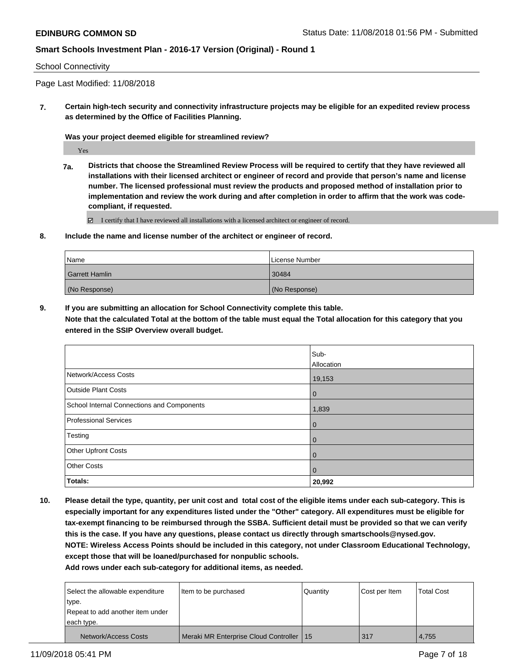### School Connectivity

Page Last Modified: 11/08/2018

**7. Certain high-tech security and connectivity infrastructure projects may be eligible for an expedited review process as determined by the Office of Facilities Planning.**

**Was your project deemed eligible for streamlined review?**

Yes

**7a. Districts that choose the Streamlined Review Process will be required to certify that they have reviewed all installations with their licensed architect or engineer of record and provide that person's name and license number. The licensed professional must review the products and proposed method of installation prior to implementation and review the work during and after completion in order to affirm that the work was codecompliant, if requested.**

 $\Xi$  I certify that I have reviewed all installations with a licensed architect or engineer of record.

**8. Include the name and license number of the architect or engineer of record.**

| Name                  | License Number |
|-----------------------|----------------|
| <b>Garrett Hamlin</b> | 30484          |
| (No Response)         | (No Response)  |

**9. If you are submitting an allocation for School Connectivity complete this table.**

**Note that the calculated Total at the bottom of the table must equal the Total allocation for this category that you entered in the SSIP Overview overall budget.** 

|                                            | Sub-           |
|--------------------------------------------|----------------|
|                                            | Allocation     |
| Network/Access Costs                       | 19,153         |
| <b>Outside Plant Costs</b>                 | $\overline{0}$ |
| School Internal Connections and Components | 1,839          |
| <b>Professional Services</b>               | $\overline{0}$ |
| Testing                                    | $\Omega$       |
| Other Upfront Costs                        | $\Omega$       |
| <b>Other Costs</b>                         | $\Omega$       |
| Totals:                                    | 20,992         |

**10. Please detail the type, quantity, per unit cost and total cost of the eligible items under each sub-category. This is especially important for any expenditures listed under the "Other" category. All expenditures must be eligible for tax-exempt financing to be reimbursed through the SSBA. Sufficient detail must be provided so that we can verify this is the case. If you have any questions, please contact us directly through smartschools@nysed.gov. NOTE: Wireless Access Points should be included in this category, not under Classroom Educational Technology, except those that will be loaned/purchased for nonpublic schools.**

**Add rows under each sub-category for additional items, as needed.**

| Select the allowable expenditure<br>type. | I ltem to be purchased                     | Quantity | Cost per Item | <b>Total Cost</b> |
|-------------------------------------------|--------------------------------------------|----------|---------------|-------------------|
| Repeat to add another item under          |                                            |          |               |                   |
| each type.                                |                                            |          |               |                   |
| Network/Access Costs                      | Meraki MR Enterprise Cloud Controller   15 |          | 317           | 4,755             |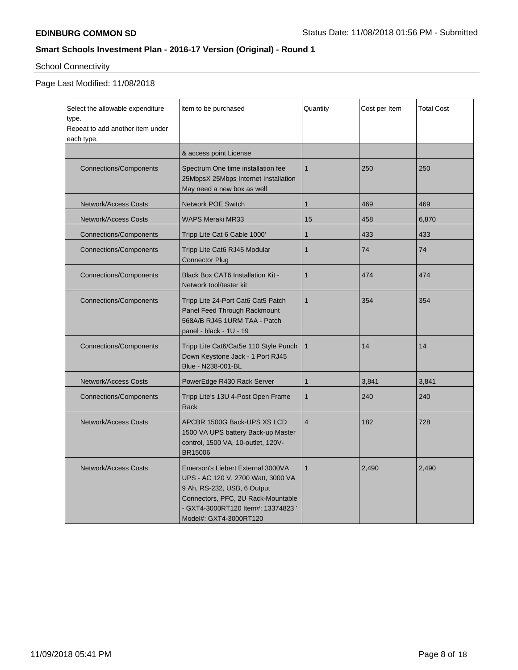# School Connectivity

| Select the allowable expenditure<br>type.<br>Repeat to add another item under<br>each type. | Item to be purchased                                                                                                                                                                                         | Quantity       | Cost per Item | <b>Total Cost</b> |
|---------------------------------------------------------------------------------------------|--------------------------------------------------------------------------------------------------------------------------------------------------------------------------------------------------------------|----------------|---------------|-------------------|
|                                                                                             | & access point License                                                                                                                                                                                       |                |               |                   |
| <b>Connections/Components</b>                                                               | Spectrum One time installation fee<br>25MbpsX 25Mbps Internet Installation<br>May need a new box as well                                                                                                     | $\mathbf{1}$   | 250           | 250               |
| Network/Access Costs                                                                        | <b>Network POE Switch</b>                                                                                                                                                                                    | $\mathbf{1}$   | 469           | 469               |
| <b>Network/Access Costs</b>                                                                 | <b>WAPS Meraki MR33</b>                                                                                                                                                                                      | 15             | 458           | 6,870             |
| <b>Connections/Components</b>                                                               | Tripp Lite Cat 6 Cable 1000'                                                                                                                                                                                 | 1              | 433           | 433               |
| <b>Connections/Components</b>                                                               | Tripp Lite Cat6 RJ45 Modular<br><b>Connector Plug</b>                                                                                                                                                        | $\mathbf{1}$   | 74            | 74                |
| <b>Connections/Components</b>                                                               | <b>Black Box CAT6 Installation Kit -</b><br>Network tool/tester kit                                                                                                                                          | $\mathbf{1}$   | 474           | 474               |
| <b>Connections/Components</b>                                                               | Tripp Lite 24-Port Cat6 Cat5 Patch<br>Panel Feed Through Rackmount<br>568A/B RJ45 1URM TAA - Patch<br>panel - black - 1U - 19                                                                                | $\mathbf{1}$   | 354           | 354               |
| <b>Connections/Components</b>                                                               | Tripp Lite Cat6/Cat5e 110 Style Punch<br>Down Keystone Jack - 1 Port RJ45<br>Blue - N238-001-BL                                                                                                              | $\mathbf{1}$   | 14            | 14                |
| Network/Access Costs                                                                        | PowerEdge R430 Rack Server                                                                                                                                                                                   | 1              | 3,841         | 3,841             |
| <b>Connections/Components</b>                                                               | Tripp Lite's 13U 4-Post Open Frame<br>Rack                                                                                                                                                                   | $\mathbf{1}$   | 240           | 240               |
| <b>Network/Access Costs</b>                                                                 | APCBR 1500G Back-UPS XS LCD<br>1500 VA UPS battery Back-up Master<br>control, 1500 VA, 10-outlet, 120V-<br><b>BR15006</b>                                                                                    | $\overline{4}$ | 182           | 728               |
| <b>Network/Access Costs</b>                                                                 | Emerson's Liebert External 3000VA<br>UPS - AC 120 V, 2700 Watt, 3000 VA<br>9 Ah, RS-232, USB, 6 Output<br>Connectors, PFC, 2U Rack-Mountable<br>- GXT4-3000RT120 Item#: 13374823 '<br>Model#: GXT4-3000RT120 | $\mathbf{1}$   | 2,490         | 2,490             |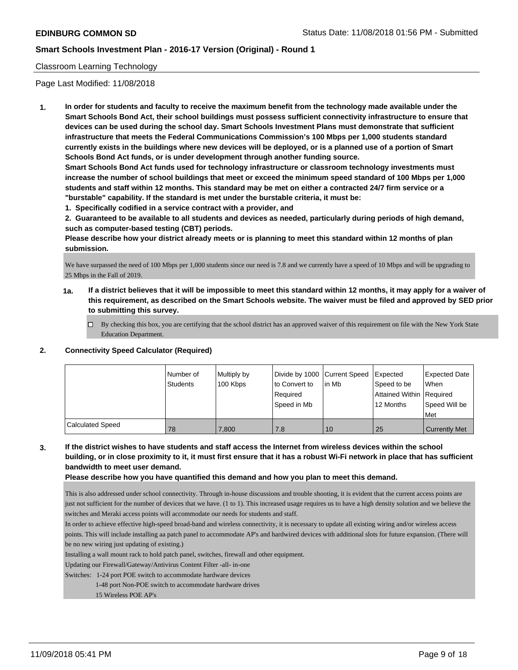### Classroom Learning Technology

Page Last Modified: 11/08/2018

**1. In order for students and faculty to receive the maximum benefit from the technology made available under the Smart Schools Bond Act, their school buildings must possess sufficient connectivity infrastructure to ensure that devices can be used during the school day. Smart Schools Investment Plans must demonstrate that sufficient infrastructure that meets the Federal Communications Commission's 100 Mbps per 1,000 students standard currently exists in the buildings where new devices will be deployed, or is a planned use of a portion of Smart Schools Bond Act funds, or is under development through another funding source.**

**Smart Schools Bond Act funds used for technology infrastructure or classroom technology investments must increase the number of school buildings that meet or exceed the minimum speed standard of 100 Mbps per 1,000 students and staff within 12 months. This standard may be met on either a contracted 24/7 firm service or a "burstable" capability. If the standard is met under the burstable criteria, it must be:**

**1. Specifically codified in a service contract with a provider, and**

**2. Guaranteed to be available to all students and devices as needed, particularly during periods of high demand, such as computer-based testing (CBT) periods.**

**Please describe how your district already meets or is planning to meet this standard within 12 months of plan submission.**

We have surpassed the need of 100 Mbps per 1,000 students since our need is 7.8 and we currently have a speed of 10 Mbps and will be upgrading to 25 Mbps in the Fall of 2019.

- **1a. If a district believes that it will be impossible to meet this standard within 12 months, it may apply for a waiver of this requirement, as described on the Smart Schools website. The waiver must be filed and approved by SED prior to submitting this survey.**
	- By checking this box, you are certifying that the school district has an approved waiver of this requirement on file with the New York State Education Department.

### **2. Connectivity Speed Calculator (Required)**

|                  | Number of<br><b>Students</b> | Multiply by<br>100 Kbps | Divide by 1000 Current Speed<br>to Convert to<br>Reauired<br>Speed in Mb | lin Mb | <b>Expected</b><br>Speed to be<br>Attained Within   Required<br>12 Months | <b>Expected Date</b><br>When<br>Speed Will be<br>l Met |
|------------------|------------------------------|-------------------------|--------------------------------------------------------------------------|--------|---------------------------------------------------------------------------|--------------------------------------------------------|
| Calculated Speed | 78                           | 7.800                   | 7.8                                                                      | 10     | 25                                                                        | <b>Currently Met</b>                                   |

# **3. If the district wishes to have students and staff access the Internet from wireless devices within the school building, or in close proximity to it, it must first ensure that it has a robust Wi-Fi network in place that has sufficient bandwidth to meet user demand.**

**Please describe how you have quantified this demand and how you plan to meet this demand.**

This is also addressed under school connectivity. Through in-house discussions and trouble shooting, it is evident that the current access points are just not sufficient for the number of devices that we have. (1 to 1). This increased usage requires us to have a high density solution and we believe the switches and Meraki access points will accommodate our needs for students and staff.

In order to achieve effective high-speed broad-band and wireless connectivity, it is necessary to update all existing wiring and/or wireless access points. This will include installing aa patch panel to accommodate AP's and hardwired devices with additional slots for future expansion. (There will be no new wiring just updating of existing.)

Installing a wall mount rack to hold patch panel, switches, firewall and other equipment.

Updating our Firewall/Gateway/Antivirus Content Filter -all- in-one

Switches: 1-24 port POE switch to accommodate hardware devices

1-48 port Non-POE switch to accommodate hardware drives

15 Wireless POE AP's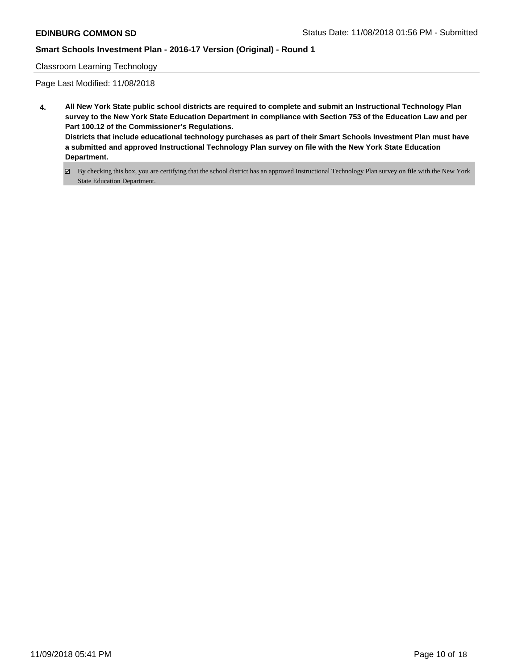### Classroom Learning Technology

- **4. All New York State public school districts are required to complete and submit an Instructional Technology Plan survey to the New York State Education Department in compliance with Section 753 of the Education Law and per Part 100.12 of the Commissioner's Regulations. Districts that include educational technology purchases as part of their Smart Schools Investment Plan must have a submitted and approved Instructional Technology Plan survey on file with the New York State Education Department.**
	- By checking this box, you are certifying that the school district has an approved Instructional Technology Plan survey on file with the New York State Education Department.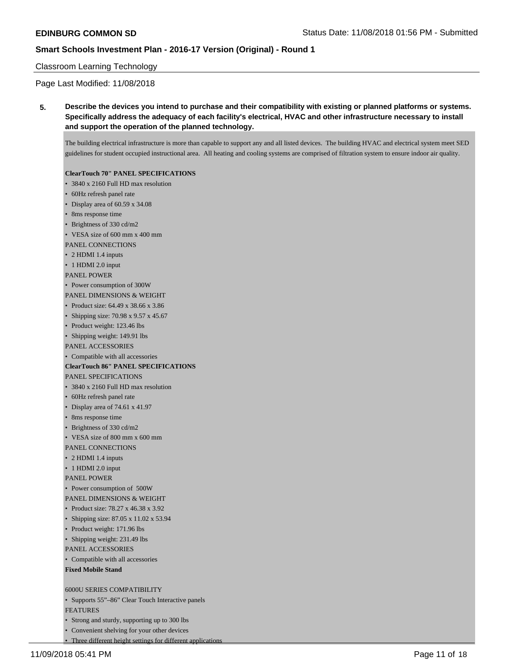### Classroom Learning Technology

Page Last Modified: 11/08/2018

**5. Describe the devices you intend to purchase and their compatibility with existing or planned platforms or systems. Specifically address the adequacy of each facility's electrical, HVAC and other infrastructure necessary to install and support the operation of the planned technology.**

The building electrical infrastructure is more than capable to support any and all listed devices. The building HVAC and electrical system meet SED guidelines for student occupied instructional area. All heating and cooling systems are comprised of filtration system to ensure indoor air quality.

#### **ClearTouch 70" PANEL SPECIFICATIONS**

- 3840 x 2160 Full HD max resolution
- 60Hz refresh panel rate
- Display area of 60.59 x 34.08
- 8ms response time
- Brightness of 330 cd/m2
- VESA size of 600 mm x 400 mm
- PANEL CONNECTIONS
- 2 HDMI 1.4 inputs
- 1 HDMI 2.0 input
- PANEL POWER
- Power consumption of 300W
- PANEL DIMENSIONS & WEIGHT
- Product size: 64.49 x 38.66 x 3.86
- Shipping size: 70.98 x 9.57 x 45.67
- Product weight: 123.46 lbs
- Shipping weight: 149.91 lbs
- PANEL ACCESSORIES
- Compatible with all accessories

#### **ClearTouch 86" PANEL SPECIFICATIONS** PANEL SPECIFICATIONS

- 3840 x 2160 Full HD max resolution
- 60Hz refresh panel rate
- Display area of 74.61 x 41.97
- 8ms response time
- Brightness of 330 cd/m2
- VESA size of 800 mm x 600 mm
- PANEL CONNECTIONS
- 2 HDMI 1.4 inputs
- 1 HDMI 2.0 input
- PANEL POWER
- Power consumption of 500W
- PANEL DIMENSIONS & WEIGHT
- Product size: 78.27 x 46.38 x 3.92
- Shipping size: 87.05 x 11.02 x 53.94
- Product weight: 171.96 lbs
- Shipping weight: 231.49 lbs
- PANEL ACCESSORIES
- Compatible with all accessories
- **Fixed Mobile Stand**

#### 6000U SERIES COMPATIBILITY

- Supports 55"–86" Clear Touch Interactive panels
- FEATURES
- Strong and sturdy, supporting up to 300 lbs
- Convenient shelving for your other devices
- Three different height settings for different applications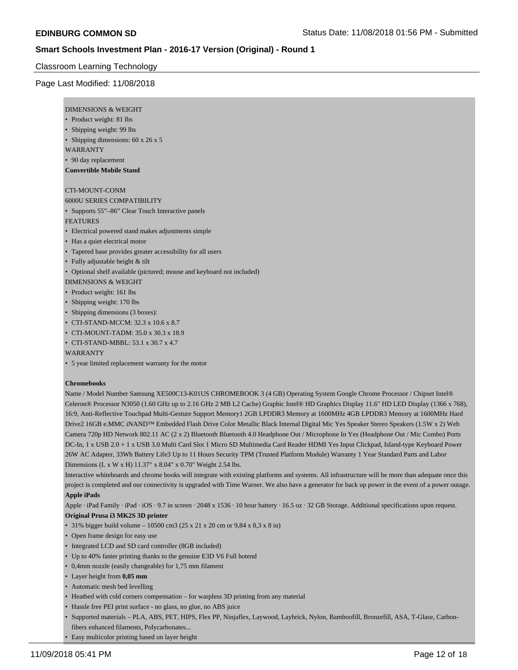### Classroom Learning Technology

### Page Last Modified: 11/08/2018

| DIMENSIONS & WEIGHT |  |
|---------------------|--|
|---------------------|--|

- Product weight: 81 lbs
- Shipping weight: 99 lbs
- Shipping dimensions: 60 x 26 x 5
- WARRANTY
- 90 day replacement

#### **Convertible Mobile Stand**

## CTI-MOUNT-CONM

### 6000U SERIES COMPATIBILITY

• Supports 55"–86" Clear Touch Interactive panels

#### FEATURES

- Electrical powered stand makes adjustments simple
- Has a quiet electrical motor
- Tapered base provides greater accessibility for all users
- Fully adjustable height & tilt
- Optional shelf available (pictured; mouse and keyboard not included)
- DIMENSIONS & WEIGHT
- Product weight: 161 lbs
- Shipping weight: 170 lbs
- Shipping dimensions (3 boxes):
- CTI-STAND-MCCM: 32.3 x 10.6 x 8.7
- CTI-MOUNT-TADM: 35.0 x 30.3 x 18.9
- CTI-STAND-MBBL: 53.1 x 30.7 x 4.7

#### WARRANTY

• 5 year limited replacement warranty for the motor

#### **Chromebooks**

Name / Model Number Samsung XE500C13-K01US CHROMEBOOK 3 (4 GB) Operating System Google Chrome Processor / Chipset Intel® Celeron® Processor N3050 (1.60 GHz up to 2.16 GHz 2 MB L2 Cache) Graphic Intel® HD Graphics Display 11.6" HD LED Display (1366 x 768), 16:9, Anti-Reflective Touchpad Multi-Gesture Support Memory1 2GB LPDDR3 Memory at 1600MHz 4GB LPDDR3 Memory at 1600MHz Hard Drive2 16GB e.MMC iNAND™ Embedded Flash Drive Color Metallic Black Internal Digital Mic Yes Speaker Stereo Speakers (1.5W x 2) Web Camera 720p HD Network 802.11 AC (2 x 2) Bluetooth Bluetooth 4.0 Headphone Out / Microphone In Yes (Headphone Out / Mic Combo) Ports DC-In, 1 x USB 2.0 + 1 x USB 3.0 Multi Card Slot 1 Micro SD Multimedia Card Reader HDMI Yes Input Clickpad, Island-type Keyboard Power 26W AC Adapter, 33Wh Battery Life3 Up to 11 Hours Security TPM (Trusted Platform Module) Warranty 1 Year Standard Parts and Labor Dimensions (L x W x H) 11.37" x 8.04" x 0.70" Weight 2.54 lbs.

Interactive whiteboards and chrome books will integrate with existing platforms and systems. All infrastructure will be more than adequate once this project is completed and our connectivity is upgraded with Time Warner. We also have a generator for back up power in the event of a power outage. **Apple iPads**

Apple · iPad Family · iPad · iOS · 9.7 in screen · 2048 x 1536 · 10 hour battery · 16.5 oz · 32 GB Storage. Additional specifications upon request. **Original Prusa i3 MK2S 3D printer**

- 31% bigger build volume 10500 cm3 (25 x 21 x 20 cm or 9,84 x 8,3 x 8 in)
- Open frame design for easy use
- Integrated LCD and SD card controller (8GB included)
- Up to 40% faster printing thanks to the genuine E3D V6 Full hotend
- 0,4mm nozzle (easily changeable) for 1,75 mm filament
- Layer height from **0,05 mm**
- Automatic mesh bed levelling
- Heatbed with cold corners compensation for warpless 3D printing from any material
- Hassle free PEI print surface no glass, no glue, no ABS juice
- Supported materials PLA, ABS, PET, HIPS, Flex PP, Ninjaflex, Laywood, Laybrick, Nylon, Bamboofill, Bronzefill, ASA, T-Glase, Carbonfibers enhanced filaments, Polycarbonates...
- Easy multicolor printing based on layer height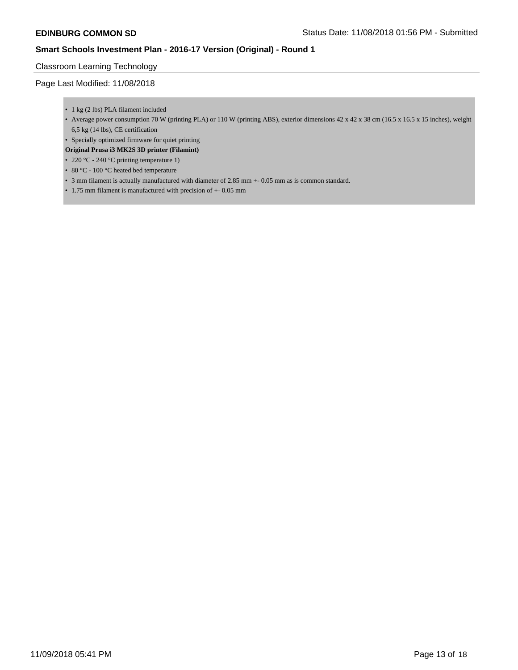### Classroom Learning Technology

- 1 kg (2 lbs) PLA filament included
- Average power consumption 70 W (printing PLA) or 110 W (printing ABS), exterior dimensions 42 x 42 x 38 cm (16.5 x 16.5 x 15 inches), weight 6,5 kg (14 lbs), CE certification
- Specially optimized firmware for quiet printing
- **Original Prusa i3 MK2S 3D printer (Filamint)**
- 220 °C 240 °C printing temperature 1)
- 80 °C 100 °C heated bed temperature
- 3 mm filament is actually manufactured with diameter of 2.85 mm +- 0.05 mm as is common standard.
- 1.75 mm filament is manufactured with precision of +- 0.05 mm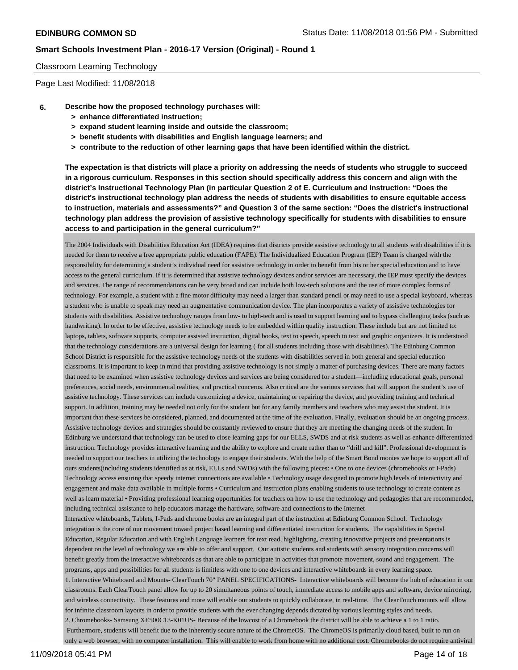#### Classroom Learning Technology

Page Last Modified: 11/08/2018

- **6. Describe how the proposed technology purchases will:**
	- **> enhance differentiated instruction;**
	- **> expand student learning inside and outside the classroom;**
	- **> benefit students with disabilities and English language learners; and**
	- **> contribute to the reduction of other learning gaps that have been identified within the district.**

**The expectation is that districts will place a priority on addressing the needs of students who struggle to succeed in a rigorous curriculum. Responses in this section should specifically address this concern and align with the district's Instructional Technology Plan (in particular Question 2 of E. Curriculum and Instruction: "Does the district's instructional technology plan address the needs of students with disabilities to ensure equitable access to instruction, materials and assessments?" and Question 3 of the same section: "Does the district's instructional technology plan address the provision of assistive technology specifically for students with disabilities to ensure access to and participation in the general curriculum?"**

The 2004 Individuals with Disabilities Education Act (IDEA) requires that districts provide assistive technology to all students with disabilities if it is needed for them to receive a free appropriate public education (FAPE). The Individualized Education Program (IEP) Team is charged with the responsibility for determining a student's individual need for assistive technology in order to benefit from his or her special education and to have access to the general curriculum. If it is determined that assistive technology devices and/or services are necessary, the IEP must specify the devices and services. The range of recommendations can be very broad and can include both low-tech solutions and the use of more complex forms of technology. For example, a student with a fine motor difficulty may need a larger than standard pencil or may need to use a special keyboard, whereas a student who is unable to speak may need an augmentative communication device. The plan incorporates a variety of assistive technologies for students with disabilities. Assistive technology ranges from low- to high-tech and is used to support learning and to bypass challenging tasks (such as handwriting). In order to be effective, assistive technology needs to be embedded within quality instruction. These include but are not limited to: laptops, tablets, software supports, computer assisted instruction, digital books, text to speech, speech to text and graphic organizers. It is understood that the technology considerations are a universal design for learning ( for all students including those with disabilities). The Edinburg Common School District is responsible for the assistive technology needs of the students with disabilities served in both general and special education classrooms. It is important to keep in mind that providing assistive technology is not simply a matter of purchasing devices. There are many factors that need to be examined when assistive technology devices and services are being considered for a student—including educational goals, personal preferences, social needs, environmental realities, and practical concerns. Also critical are the various services that will support the student's use of assistive technology. These services can include customizing a device, maintaining or repairing the device, and providing training and technical support. In addition, training may be needed not only for the student but for any family members and teachers who may assist the student. It is important that these services be considered, planned, and documented at the time of the evaluation. Finally, evaluation should be an ongoing process. Assistive technology devices and strategies should be constantly reviewed to ensure that they are meeting the changing needs of the student. In Edinburg we understand that technology can be used to close learning gaps for our ELLS, SWDS and at risk students as well as enhance differentiated instruction. Technology provides interactive learning and the ability to explore and create rather than to "drill and kill". Professional development is needed to support our teachers in utilizing the technology to engage their students. With the help of the Smart Bond monies we hope to support all of ours students(including students identified as at risk, ELLs and SWDs) with the following pieces: • One to one devices (chromebooks or I-Pads) Technology access ensuring that speedy internet connections are available • Technology usage designed to promote high levels of interactivity and engagement and make data available in multiple forms • Curriculum and instruction plans enabling students to use technology to create content as well as learn material • Providing professional learning opportunities for teachers on how to use the technology and pedagogies that are recommended, including technical assistance to help educators manage the hardware, software and connections to the Internet Interactive whiteboards, Tablets, I-Pads and chrome books are an integral part of the instruction at Edinburg Common School. Technology integration is the core of our movement toward project based learning and differentiated instruction for students. The capabilities in Special Education, Regular Education and with English Language learners for text read, highlighting, creating innovative projects and presentations is dependent on the level of technology we are able to offer and support. Our autistic students and students with sensory integration concerns will benefit greatly from the interactive whiteboards as that are able to participate in activities that promote movement, sound and engagement. The programs, apps and possibilities for all students is limitless with one to one devices and interactive whiteboards in every learning space. 1. Interactive Whiteboard and Mounts- ClearTouch 70" PANEL SPECIFICATIONS-Interactive whiteboards will become the hub of education in our classrooms. Each ClearTouch panel allow for up to 20 simultaneous points of touch, immediate access to mobile apps and software, device mirroring, and wireless connectivity. These features and more will enable our students to quickly collaborate, in real-time. The ClearTouch mounts will allow for infinite classroom layouts in order to provide students with the ever changing depends dictated by various learning styles and needs. 2. Chromebooks- Samsung XE500C13-K01US- Because of the lowcost of a Chromebook the district will be able to achieve a 1 to 1 ratio. Furthermore, students will benefit due to the inherently secure nature of the ChromeOS. The ChromeOS is primarily cloud based, built to run on only a web browser, with no computer installation. This will enable to work from home with no additional cost. Chromebooks do not require antiviral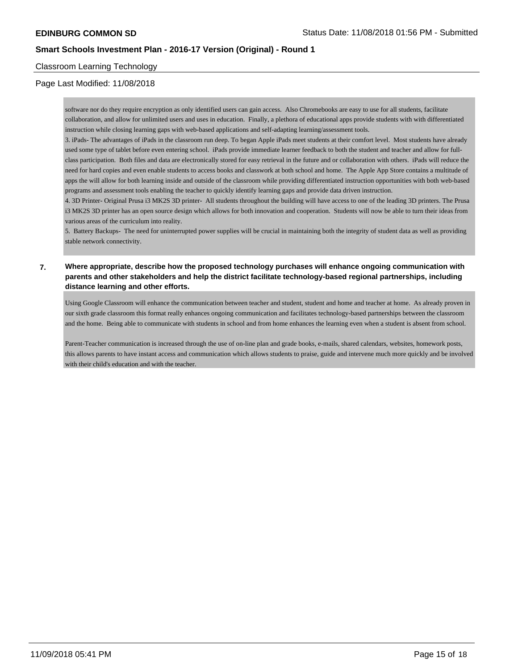### Classroom Learning Technology

### Page Last Modified: 11/08/2018

software nor do they require encryption as only identified users can gain access. Also Chromebooks are easy to use for all students, facilitate collaboration, and allow for unlimited users and uses in education. Finally, a plethora of educational apps provide students with with differentiated instruction while closing learning gaps with web-based applications and self-adapting learning/assessment tools.

3. iPads- The advantages of iPads in the classroom run deep. To began Apple iPads meet students at their comfort level. Most students have already used some type of tablet before even entering school. iPads provide immediate learner feedback to both the student and teacher and allow for fullclass participation. Both files and data are electronically stored for easy retrieval in the future and or collaboration with others. iPads will reduce the need for hard copies and even enable students to access books and classwork at both school and home. The Apple App Store contains a multitude of apps the will allow for both learning inside and outside of the classroom while providing differentiated instruction opportunities with both web-based programs and assessment tools enabling the teacher to quickly identify learning gaps and provide data driven instruction.

4. 3D Printer- Original Prusa i3 MK2S 3D printer- All students throughout the building will have access to one of the leading 3D printers. The Prusa i3 MK2S 3D printer has an open source design which allows for both innovation and cooperation. Students will now be able to turn their ideas from various areas of the curriculum into reality.

5. Battery Backups- The need for uninterrupted power supplies will be crucial in maintaining both the integrity of student data as well as providing stable network connectivity.

### **7. Where appropriate, describe how the proposed technology purchases will enhance ongoing communication with parents and other stakeholders and help the district facilitate technology-based regional partnerships, including distance learning and other efforts.**

Using Google Classroom will enhance the communication between teacher and student, student and home and teacher at home. As already proven in our sixth grade classroom this format really enhances ongoing communication and facilitates technology-based partnerships between the classroom and the home. Being able to communicate with students in school and from home enhances the learning even when a student is absent from school.

Parent-Teacher communication is increased through the use of on-line plan and grade books, e-mails, shared calendars, websites, homework posts, this allows parents to have instant access and communication which allows students to praise, guide and intervene much more quickly and be involved with their child's education and with the teacher.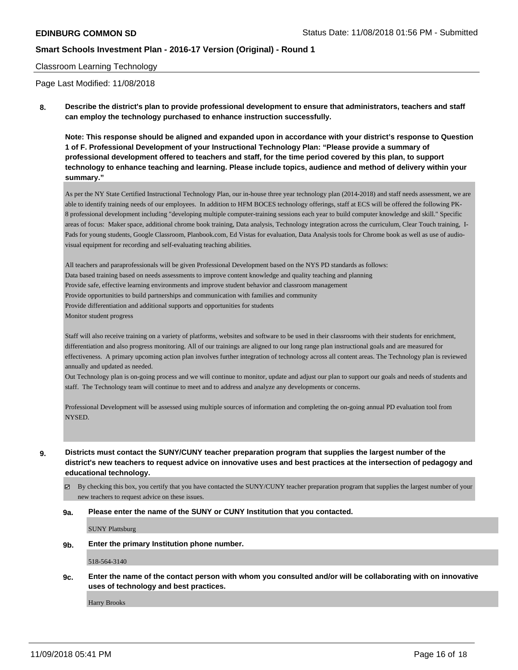### Classroom Learning Technology

Page Last Modified: 11/08/2018

**8. Describe the district's plan to provide professional development to ensure that administrators, teachers and staff can employ the technology purchased to enhance instruction successfully.**

**Note: This response should be aligned and expanded upon in accordance with your district's response to Question 1 of F. Professional Development of your Instructional Technology Plan: "Please provide a summary of professional development offered to teachers and staff, for the time period covered by this plan, to support technology to enhance teaching and learning. Please include topics, audience and method of delivery within your summary."**

As per the NY State Certified Instructional Technology Plan, our in-house three year technology plan (2014-2018) and staff needs assessment, we are able to identify training needs of our employees. In addition to HFM BOCES technology offerings, staff at ECS will be offered the following PK-8 professional development including "developing multiple computer-training sessions each year to build computer knowledge and skill." Specific areas of focus: Maker space, additional chrome book training, Data analysis, Technology integration across the curriculum, Clear Touch training, I-Pads for young students, Google Classroom, Planbook.com, Ed Vistas for evaluation, Data Analysis tools for Chrome book as well as use of audiovisual equipment for recording and self-evaluating teaching abilities.

All teachers and paraprofessionals will be given Professional Development based on the NYS PD standards as follows: Data based training based on needs assessments to improve content knowledge and quality teaching and planning Provide safe, effective learning environments and improve student behavior and classroom management Provide opportunities to build partnerships and communication with families and community Provide differentiation and additional supports and opportunities for students Monitor student progress

Staff will also receive training on a variety of platforms, websites and software to be used in their classrooms with their students for enrichment, differentiation and also progress monitoring. All of our trainings are aligned to our long range plan instructional goals and are measured for effectiveness. A primary upcoming action plan involves further integration of technology across all content areas. The Technology plan is reviewed annually and updated as needed.

Out Technology plan is on-going process and we will continue to monitor, update and adjust our plan to support our goals and needs of students and staff. The Technology team will continue to meet and to address and analyze any developments or concerns.

Professional Development will be assessed using multiple sources of information and completing the on-going annual PD evaluation tool from **NYSED** 

**9. Districts must contact the SUNY/CUNY teacher preparation program that supplies the largest number of the district's new teachers to request advice on innovative uses and best practices at the intersection of pedagogy and educational technology.**

By checking this box, you certify that you have contacted the SUNY/CUNY teacher preparation program that supplies the largest number of your new teachers to request advice on these issues.

#### **9a. Please enter the name of the SUNY or CUNY Institution that you contacted.**

SUNY Plattsburg

**9b. Enter the primary Institution phone number.**

518-564-3140

**9c. Enter the name of the contact person with whom you consulted and/or will be collaborating with on innovative uses of technology and best practices.**

Harry Brooks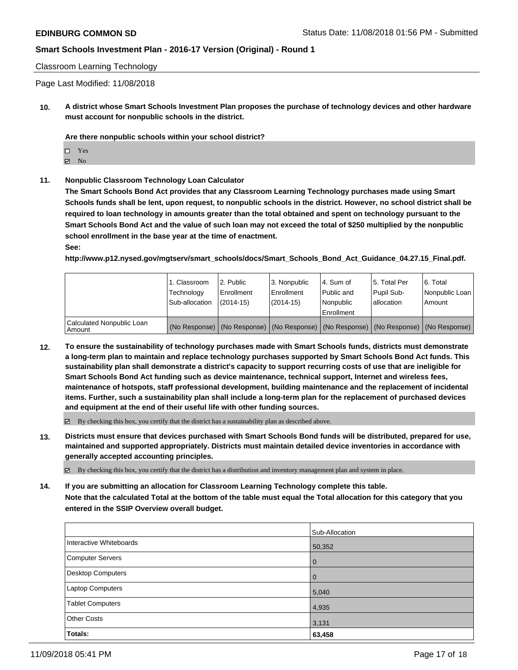Classroom Learning Technology

Page Last Modified: 11/08/2018

**10. A district whose Smart Schools Investment Plan proposes the purchase of technology devices and other hardware must account for nonpublic schools in the district.**

**Are there nonpublic schools within your school district?**

Yes

 $\boxtimes$  No

**11. Nonpublic Classroom Technology Loan Calculator**

**The Smart Schools Bond Act provides that any Classroom Learning Technology purchases made using Smart Schools funds shall be lent, upon request, to nonpublic schools in the district. However, no school district shall be required to loan technology in amounts greater than the total obtained and spent on technology pursuant to the Smart Schools Bond Act and the value of such loan may not exceed the total of \$250 multiplied by the nonpublic school enrollment in the base year at the time of enactment.**

**See:**

**http://www.p12.nysed.gov/mgtserv/smart\_schools/docs/Smart\_Schools\_Bond\_Act\_Guidance\_04.27.15\_Final.pdf.**

|                                       | 1. Classroom<br>Technology<br>Sub-allocation | 2. Public<br>Enrollment<br>(2014-15) | l 3. Nonpublic<br>l Enrollment<br>$(2014 - 15)$                                               | I4. Sum of<br>Public and<br>l Nonpublic<br>Enrollment | 15. Total Per<br>Pupil Sub-<br>lallocation | l 6. Total<br>Nonpublic Loan<br>Amount |
|---------------------------------------|----------------------------------------------|--------------------------------------|-----------------------------------------------------------------------------------------------|-------------------------------------------------------|--------------------------------------------|----------------------------------------|
| Calculated Nonpublic Loan<br>l Amount |                                              |                                      | (No Response)   (No Response)   (No Response)   (No Response)   (No Response)   (No Response) |                                                       |                                            |                                        |

**12. To ensure the sustainability of technology purchases made with Smart Schools funds, districts must demonstrate a long-term plan to maintain and replace technology purchases supported by Smart Schools Bond Act funds. This sustainability plan shall demonstrate a district's capacity to support recurring costs of use that are ineligible for Smart Schools Bond Act funding such as device maintenance, technical support, Internet and wireless fees, maintenance of hotspots, staff professional development, building maintenance and the replacement of incidental items. Further, such a sustainability plan shall include a long-term plan for the replacement of purchased devices and equipment at the end of their useful life with other funding sources.**

 $\boxtimes$  By checking this box, you certify that the district has a sustainability plan as described above.

**13. Districts must ensure that devices purchased with Smart Schools Bond funds will be distributed, prepared for use, maintained and supported appropriately. Districts must maintain detailed device inventories in accordance with generally accepted accounting principles.**

By checking this box, you certify that the district has a distribution and inventory management plan and system in place.

**14. If you are submitting an allocation for Classroom Learning Technology complete this table. Note that the calculated Total at the bottom of the table must equal the Total allocation for this category that you entered in the SSIP Overview overall budget.**

|                          | Sub-Allocation |
|--------------------------|----------------|
| Interactive Whiteboards  | 50,352         |
| <b>Computer Servers</b>  | 0              |
| <b>Desktop Computers</b> | 0              |
| Laptop Computers         | 5,040          |
| <b>Tablet Computers</b>  | 4,935          |
| <b>Other Costs</b>       | 3,131          |
| Totals:                  | 63,458         |